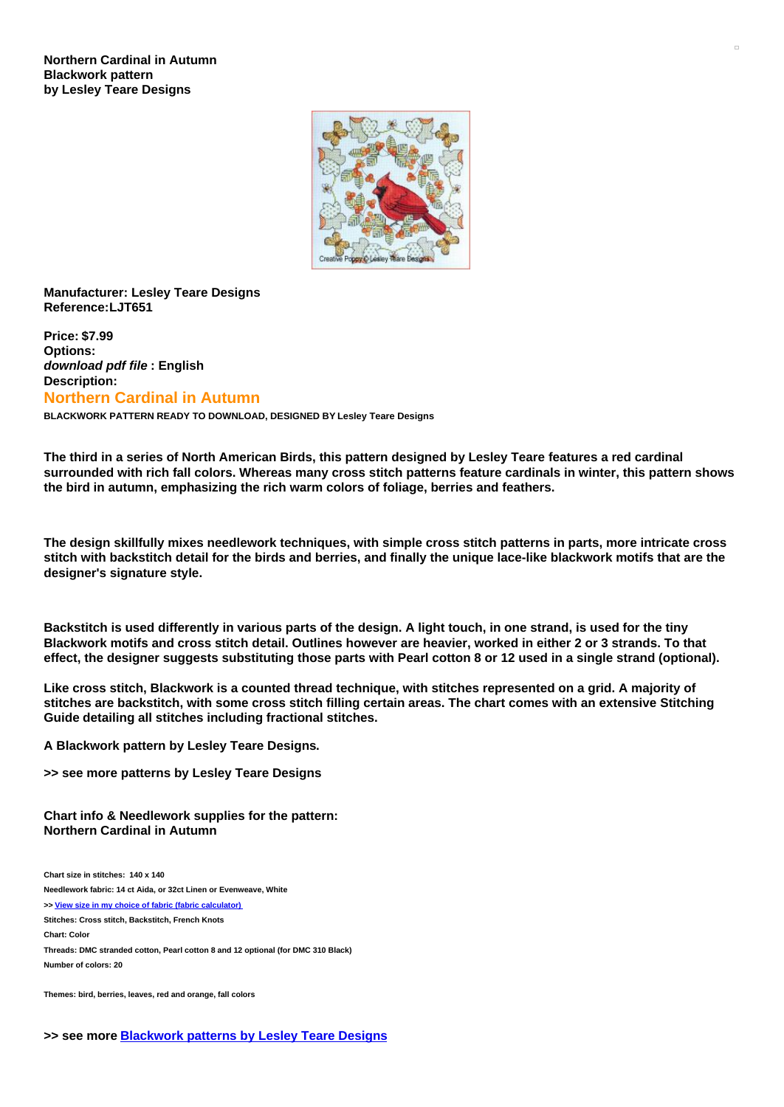

## **Manufacturer: Lesley Teare Designs Reference:LJT651**

**Price: \$7.99 Options:** *download pdf file* **: English Description: Northern Cardinal in Autumn**

**BLACKWORK PATTERN READY TO DOWNLOAD, DESIGNED BY Lesley Teare Designs**

The third in a series of North American Birds, this pattern designed by Lesley Teare features a red cardinal surrounded with rich fall colors. Whereas many cross stitch patterns feature cardinals in winter, this pattern shows **the bird in autumn, emphasizing the rich warm colors of foliage, berries and feathers.**

The design skillfully mixes needlework techniques, with simple cross stitch patterns in parts, more intricate cross stitch with backstitch detail for the birds and berries, and finally the unique lace-like blackwork motifs that are the **designer's signature style.**

Backstitch is used differently in various parts of the design. A light touch, in one strand, is used for the tiny Blackwork motifs and cross stitch detail. Outlines however are heavier, worked in either 2 or 3 strands. To that effect, the designer suggests substituting those parts with Pearl cotton 8 or 12 used in a single strand (optional).

Like cross stitch, Blackwork is a counted thread technique, with stitches represented on a grid. A majority of stitches are backstitch, with some cross stitch filling certain areas. The chart comes with an extensive Stitching **Guide detailing all stitches including fractional stitches.**

**A Blackwork pattern by Lesley Teare Designs.**

**>> see more patterns by Lesley Teare Designs**

**Chart info & Needlework supplies for the pattern: Northern Cardinal in Autumn**

**Chart size in stitches: 140 x 140 Needlework fabric: 14 ct Aida, or 32ct Linen or Evenweave, White >> View size in my choice of fabric (fabric [calculator\)](https://www.creativepoppypatterns.com/calculette-de-toile.php?products_id=3606&w=140&h=140) Stitches: Cross stitch, Backstitch, French Knots Chart: Color Threads: DMC stranded cotton, Pearl cotton 8 and 12 optional (for DMC 310 Black) Number of colors: 20**

**Themes: bird, berries, leaves, red and orange, fall colors**